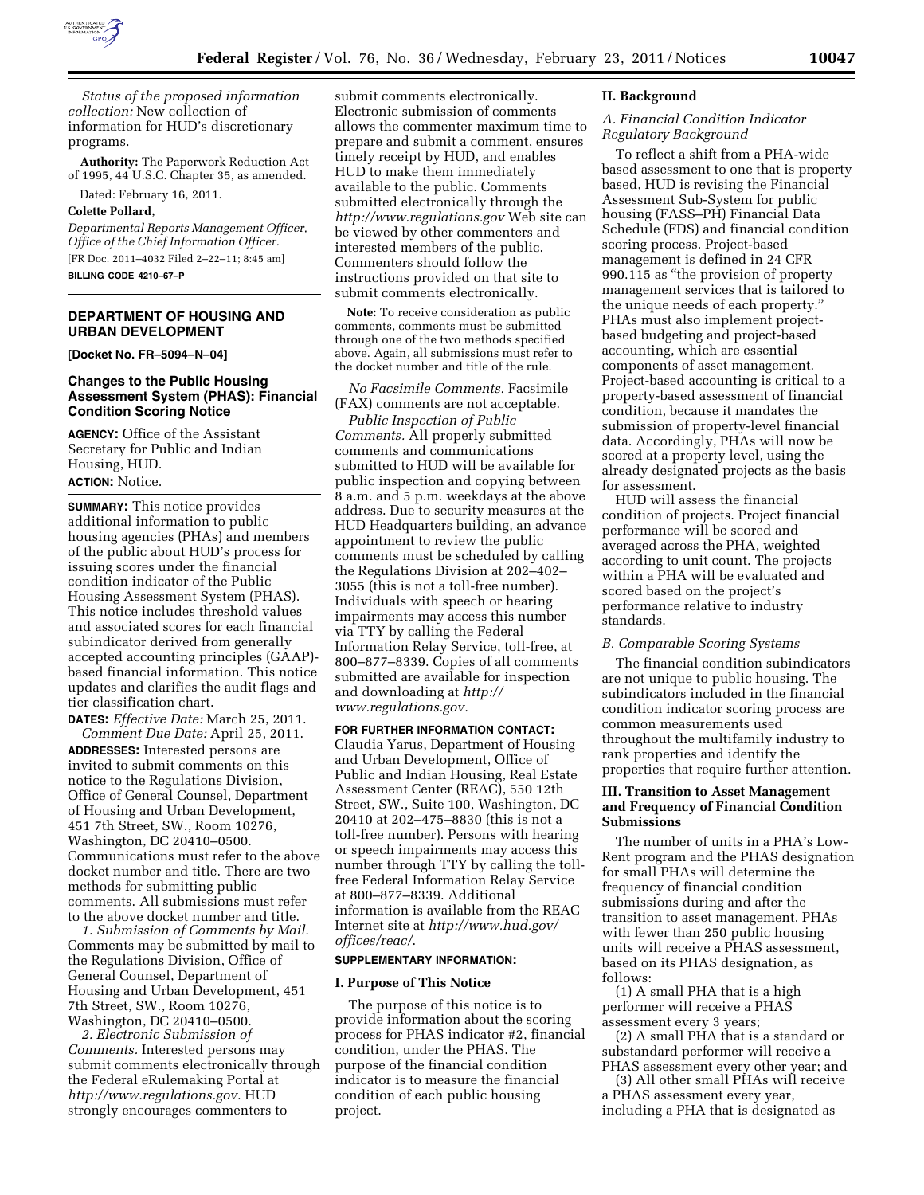

*Status of the proposed information collection:* New collection of information for HUD's discretionary programs.

**Authority:** The Paperwork Reduction Act of 1995, 44 U.S.C. Chapter 35, as amended.

Dated: February 16, 2011.

#### **Colette Pollard,**

*Departmental Reports Management Officer, Office of the Chief Information Officer.*  [FR Doc. 2011–4032 Filed 2–22–11; 8:45 am] **BILLING CODE 4210–67–P** 

## **DEPARTMENT OF HOUSING AND URBAN DEVELOPMENT**

**[Docket No. FR–5094–N–04]** 

## **Changes to the Public Housing Assessment System (PHAS): Financial Condition Scoring Notice**

**AGENCY:** Office of the Assistant Secretary for Public and Indian Housing, HUD. **ACTION:** Notice.

**SUMMARY:** This notice provides additional information to public housing agencies (PHAs) and members of the public about HUD's process for issuing scores under the financial condition indicator of the Public Housing Assessment System (PHAS). This notice includes threshold values and associated scores for each financial subindicator derived from generally accepted accounting principles (GAAP) based financial information. This notice updates and clarifies the audit flags and tier classification chart.

**DATES:** *Effective Date:* March 25, 2011. *Comment Due Date:* April 25, 2011.

**ADDRESSES:** Interested persons are invited to submit comments on this notice to the Regulations Division, Office of General Counsel, Department of Housing and Urban Development, 451 7th Street, SW., Room 10276, Washington, DC 20410–0500. Communications must refer to the above docket number and title. There are two methods for submitting public comments. All submissions must refer to the above docket number and title.

*1. Submission of Comments by Mail.*  Comments may be submitted by mail to the Regulations Division, Office of General Counsel, Department of Housing and Urban Development, 451 7th Street, SW., Room 10276, Washington, DC 20410–0500.

*2. Electronic Submission of Comments.* Interested persons may submit comments electronically through the Federal eRulemaking Portal at *[http://www.regulations.gov.](http://www.regulations.gov)* HUD strongly encourages commenters to

submit comments electronically. Electronic submission of comments allows the commenter maximum time to prepare and submit a comment, ensures timely receipt by HUD, and enables HUD to make them immediately available to the public. Comments submitted electronically through the *<http://www.regulations.gov>* Web site can be viewed by other commenters and interested members of the public. Commenters should follow the instructions provided on that site to submit comments electronically.

**Note:** To receive consideration as public comments, comments must be submitted through one of the two methods specified above. Again, all submissions must refer to the docket number and title of the rule.

## *No Facsimile Comments.* Facsimile (FAX) comments are not acceptable.

*Public Inspection of Public Comments.* All properly submitted comments and communications submitted to HUD will be available for public inspection and copying between 8 a.m. and 5 p.m. weekdays at the above address. Due to security measures at the HUD Headquarters building, an advance appointment to review the public comments must be scheduled by calling the Regulations Division at 202–402– 3055 (this is not a toll-free number). Individuals with speech or hearing impairments may access this number via TTY by calling the Federal Information Relay Service, toll-free, at 800–877–8339. Copies of all comments submitted are available for inspection and downloading at *[http://](http://www.regulations.gov) [www.regulations.gov.](http://www.regulations.gov)* 

## **FOR FURTHER INFORMATION CONTACT:**

Claudia Yarus, Department of Housing and Urban Development, Office of Public and Indian Housing, Real Estate Assessment Center (REAC), 550 12th Street, SW., Suite 100, Washington, DC 20410 at 202–475–8830 (this is not a toll-free number). Persons with hearing or speech impairments may access this number through TTY by calling the tollfree Federal Information Relay Service at 800–877–8339. Additional information is available from the REAC Internet site at *[http://www.hud.gov/](http://www.hud.gov/offices/reac/) [offices/reac/](http://www.hud.gov/offices/reac/)*.

#### **SUPPLEMENTARY INFORMATION:**

#### **I. Purpose of This Notice**

The purpose of this notice is to provide information about the scoring process for PHAS indicator #2, financial condition, under the PHAS. The purpose of the financial condition indicator is to measure the financial condition of each public housing project.

#### **II. Background**

### *A. Financial Condition Indicator Regulatory Background*

To reflect a shift from a PHA-wide based assessment to one that is property based, HUD is revising the Financial Assessment Sub-System for public housing (FASS–PH) Financial Data Schedule (FDS) and financial condition scoring process. Project-based management is defined in 24 CFR 990.115 as ''the provision of property management services that is tailored to the unique needs of each property.'' PHAs must also implement projectbased budgeting and project-based accounting, which are essential components of asset management. Project-based accounting is critical to a property-based assessment of financial condition, because it mandates the submission of property-level financial data. Accordingly, PHAs will now be scored at a property level, using the already designated projects as the basis for assessment.

HUD will assess the financial condition of projects. Project financial performance will be scored and averaged across the PHA, weighted according to unit count. The projects within a PHA will be evaluated and scored based on the project's performance relative to industry standards.

## *B. Comparable Scoring Systems*

The financial condition subindicators are not unique to public housing. The subindicators included in the financial condition indicator scoring process are common measurements used throughout the multifamily industry to rank properties and identify the properties that require further attention.

### **III. Transition to Asset Management and Frequency of Financial Condition Submissions**

The number of units in a PHA's Low-Rent program and the PHAS designation for small PHAs will determine the frequency of financial condition submissions during and after the transition to asset management. PHAs with fewer than 250 public housing units will receive a PHAS assessment, based on its PHAS designation, as follows:

(1) A small PHA that is a high performer will receive a PHAS assessment every 3 years;

(2) A small PHA that is a standard or substandard performer will receive a PHAS assessment every other year; and

(3) All other small PHAs will receive a PHAS assessment every year, including a PHA that is designated as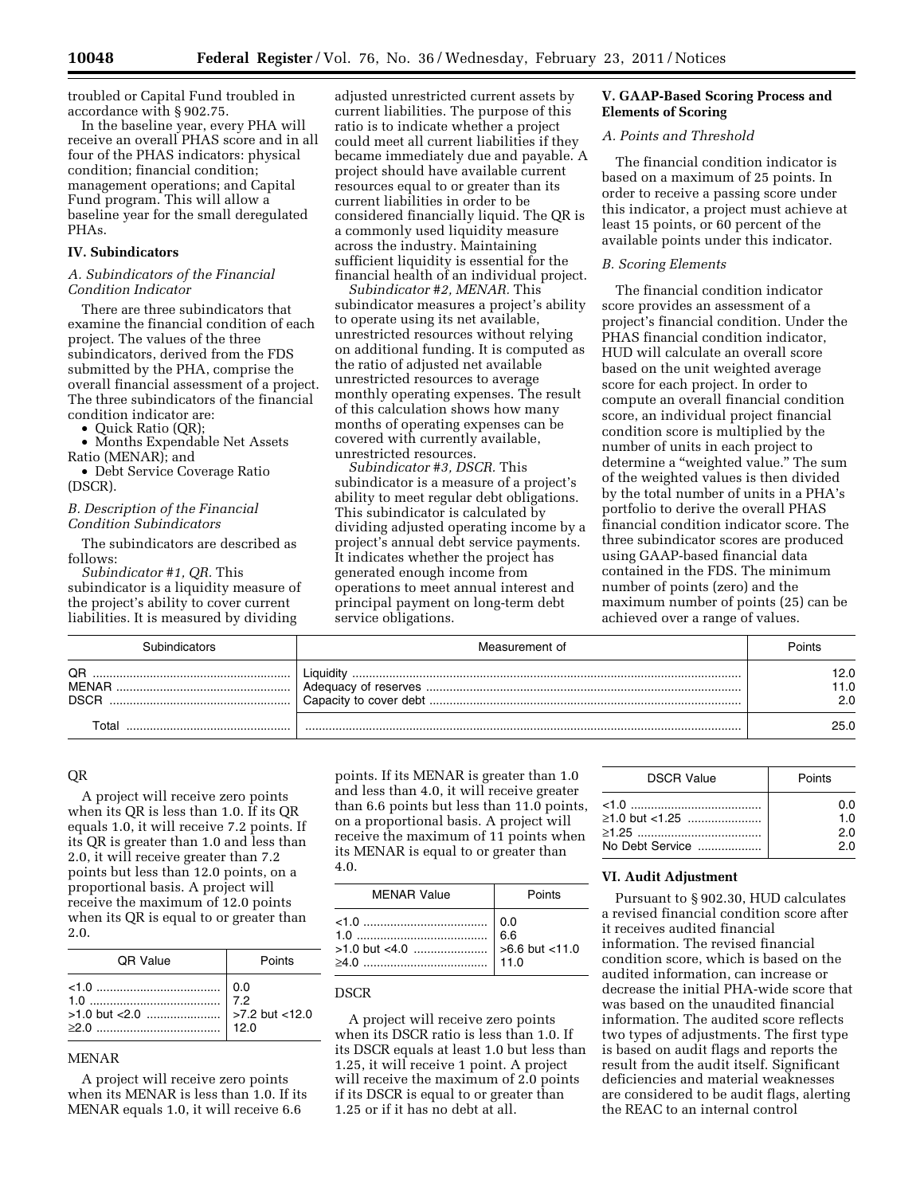troubled or Capital Fund troubled in accordance with § 902.75.

In the baseline year, every PHA will receive an overall PHAS score and in all four of the PHAS indicators: physical condition; financial condition; management operations; and Capital Fund program. This will allow a baseline year for the small deregulated PHAs.

#### **IV. Subindicators**

#### *A. Subindicators of the Financial Condition Indicator*

There are three subindicators that examine the financial condition of each project. The values of the three subindicators, derived from the FDS submitted by the PHA, comprise the overall financial assessment of a project. The three subindicators of the financial condition indicator are:

• Quick Ratio (QR);

• Months Expendable Net Assets Ratio (MENAR); and

• Debt Service Coverage Ratio (DSCR).

#### *B. Description of the Financial Condition Subindicators*

The subindicators are described as follows:

*Subindicator #1, QR.* This subindicator is a liquidity measure of the project's ability to cover current liabilities. It is measured by dividing

adjusted unrestricted current assets by current liabilities. The purpose of this ratio is to indicate whether a project could meet all current liabilities if they became immediately due and payable. A project should have available current resources equal to or greater than its current liabilities in order to be considered financially liquid. The QR is a commonly used liquidity measure across the industry. Maintaining sufficient liquidity is essential for the financial health of an individual project.

*Subindicator #2, MENAR.* This subindicator measures a project's ability to operate using its net available, unrestricted resources without relying on additional funding. It is computed as the ratio of adjusted net available unrestricted resources to average monthly operating expenses. The result of this calculation shows how many months of operating expenses can be covered with currently available, unrestricted resources.

*Subindicator #3, DSCR.* This subindicator is a measure of a project's ability to meet regular debt obligations. This subindicator is calculated by dividing adjusted operating income by a project's annual debt service payments. It indicates whether the project has generated enough income from operations to meet annual interest and principal payment on long-term debt service obligations.

## **V. GAAP-Based Scoring Process and Elements of Scoring**

### *A. Points and Threshold*

The financial condition indicator is based on a maximum of 25 points. In order to receive a passing score under this indicator, a project must achieve at least 15 points, or 60 percent of the available points under this indicator.

#### *B. Scoring Elements*

The financial condition indicator score provides an assessment of a project's financial condition. Under the PHAS financial condition indicator, HUD will calculate an overall score based on the unit weighted average score for each project. In order to compute an overall financial condition score, an individual project financial condition score is multiplied by the number of units in each project to determine a "weighted value." The sum of the weighted values is then divided by the total number of units in a PHA's portfolio to derive the overall PHAS financial condition indicator score. The three subindicator scores are produced using GAAP-based financial data contained in the FDS. The minimum number of points (zero) and the maximum number of points (25) can be achieved over a range of values.

|                            | Measurement of | Points <sup>-</sup> |
|----------------------------|----------------|---------------------|
| QR<br>MENAR<br><b>DSCR</b> |                | 12.0<br>1.0<br>2.0  |
|                            |                | 25.0                |

## QR

A project will receive zero points when its QR is less than 1.0. If its QR equals 1.0, it will receive 7.2 points. If its QR is greater than 1.0 and less than 2.0, it will receive greater than 7.2 points but less than 12.0 points, on a proportional basis. A project will receive the maximum of 12.0 points when its QR is equal to or greater than 2.0.

| <b>OR Value</b>      | Points |
|----------------------|--------|
| $\left  0.0 \right $ |        |

#### MENAR

A project will receive zero points when its MENAR is less than 1.0. If its MENAR equals 1.0, it will receive 6.6

points. If its MENAR is greater than 1.0 and less than 4.0, it will receive greater than 6.6 points but less than 11.0 points, on a proportional basis. A project will receive the maximum of 11 points when its MENAR is equal to or greater than 4.0.

| <b>MENAR Value</b> | Points |
|--------------------|--------|
|                    |        |

## DSCR

A project will receive zero points when its DSCR ratio is less than 1.0. If its DSCR equals at least 1.0 but less than 1.25, it will receive 1 point. A project will receive the maximum of 2.0 points if its DSCR is equal to or greater than 1.25 or if it has no debt at all.

| <b>DSCR Value</b>                       | Points                   |
|-----------------------------------------|--------------------------|
| $\geq$ 1.0 but <1.25<br>No Debt Service | 0.O<br>1.O<br>2.0<br>2.0 |

### **VI. Audit Adjustment**

Pursuant to § 902.30, HUD calculates a revised financial condition score after it receives audited financial information. The revised financial condition score, which is based on the audited information, can increase or decrease the initial PHA-wide score that was based on the unaudited financial information. The audited score reflects two types of adjustments. The first type is based on audit flags and reports the result from the audit itself. Significant deficiencies and material weaknesses are considered to be audit flags, alerting the REAC to an internal control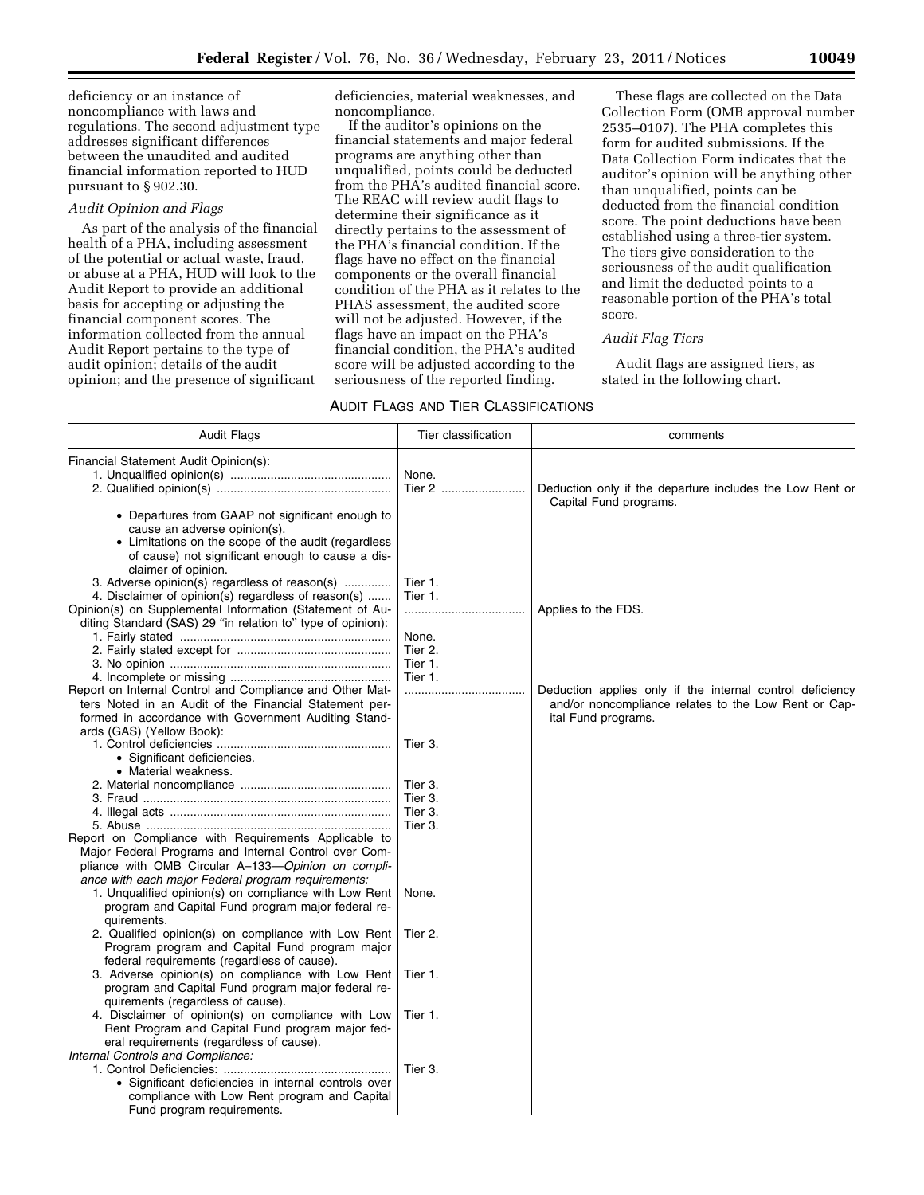deficiency or an instance of noncompliance with laws and regulations. The second adjustment type addresses significant differences between the unaudited and audited financial information reported to HUD pursuant to § 902.30.

## *Audit Opinion and Flags*

As part of the analysis of the financial health of a PHA, including assessment of the potential or actual waste, fraud, or abuse at a PHA, HUD will look to the Audit Report to provide an additional basis for accepting or adjusting the financial component scores. The information collected from the annual Audit Report pertains to the type of audit opinion; details of the audit opinion; and the presence of significant

deficiencies, material weaknesses, and noncompliance.

If the auditor's opinions on the financial statements and major federal programs are anything other than unqualified, points could be deducted from the PHA's audited financial score. The REAC will review audit flags to determine their significance as it directly pertains to the assessment of the PHA's financial condition. If the flags have no effect on the financial components or the overall financial condition of the PHA as it relates to the PHAS assessment, the audited score will not be adjusted. However, if the flags have an impact on the PHA's financial condition, the PHA's audited score will be adjusted according to the seriousness of the reported finding.

These flags are collected on the Data Collection Form (OMB approval number 2535–0107). The PHA completes this form for audited submissions. If the Data Collection Form indicates that the auditor's opinion will be anything other than unqualified, points can be deducted from the financial condition score. The point deductions have been established using a three-tier system. The tiers give consideration to the seriousness of the audit qualification and limit the deducted points to a reasonable portion of the PHA's total score.

## *Audit Flag Tiers*

Audit flags are assigned tiers, as stated in the following chart.

## AUDIT FLAGS AND TIER CLASSIFICATIONS

| <b>Audit Flags</b>                                                                                                                                                                                                        | Tier classification                      | comments                                                                                                                                 |
|---------------------------------------------------------------------------------------------------------------------------------------------------------------------------------------------------------------------------|------------------------------------------|------------------------------------------------------------------------------------------------------------------------------------------|
| Financial Statement Audit Opinion(s):                                                                                                                                                                                     | None.<br>Tier 2                          | Deduction only if the departure includes the Low Rent or                                                                                 |
| • Departures from GAAP not significant enough to<br>cause an adverse opinion(s).<br>• Limitations on the scope of the audit (regardless                                                                                   |                                          | Capital Fund programs.                                                                                                                   |
| of cause) not significant enough to cause a dis-<br>claimer of opinion.<br>3. Adverse opinion(s) regardless of reason(s)<br>4. Disclaimer of opinion(s) regardless of reason(s)                                           | Tier 1.<br>Tier 1.                       |                                                                                                                                          |
| Opinion(s) on Supplemental Information (Statement of Au-<br>diting Standard (SAS) 29 "in relation to" type of opinion):                                                                                                   | <br>None.<br>Tier 2.                     | Applies to the FDS.                                                                                                                      |
|                                                                                                                                                                                                                           | Tier 1.<br>Tier 1.                       |                                                                                                                                          |
| Report on Internal Control and Compliance and Other Mat-<br>ters Noted in an Audit of the Financial Statement per-<br>formed in accordance with Government Auditing Stand-<br>ards (GAS) (Yellow Book):                   |                                          | Deduction applies only if the internal control deficiency<br>and/or noncompliance relates to the Low Rent or Cap-<br>ital Fund programs. |
| • Significant deficiencies.<br>• Material weakness.                                                                                                                                                                       | Tier 3.                                  |                                                                                                                                          |
|                                                                                                                                                                                                                           | Tier 3.<br>Tier 3.<br>Tier 3.<br>Tier 3. |                                                                                                                                          |
| Report on Compliance with Requirements Applicable to<br>Major Federal Programs and Internal Control over Com-<br>pliance with OMB Circular A-133-Opinion on compli-<br>ance with each major Federal program requirements: |                                          |                                                                                                                                          |
| 1. Unqualified opinion(s) on compliance with Low Rent<br>program and Capital Fund program major federal re-<br>quirements.                                                                                                | None.                                    |                                                                                                                                          |
| 2. Qualified opinion(s) on compliance with Low Rent<br>Program program and Capital Fund program major<br>federal requirements (regardless of cause).                                                                      | Tier 2.                                  |                                                                                                                                          |
| 3. Adverse opinion(s) on compliance with Low Rent<br>program and Capital Fund program major federal re-<br>quirements (regardless of cause).                                                                              | Tier 1.                                  |                                                                                                                                          |
| 4. Disclaimer of opinion(s) on compliance with Low<br>Rent Program and Capital Fund program major fed-<br>eral requirements (regardless of cause).<br>Internal Controls and Compliance:                                   | Tier 1.                                  |                                                                                                                                          |
| • Significant deficiencies in internal controls over<br>compliance with Low Rent program and Capital<br>Fund program requirements.                                                                                        | Tier 3.                                  |                                                                                                                                          |